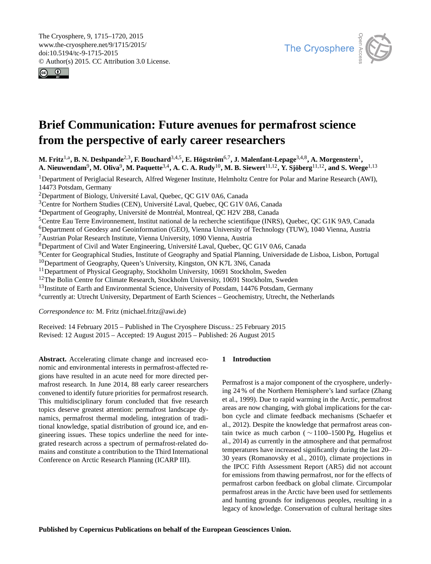<span id="page-0-1"></span>The Cryosphere, 9, 1715–1720, 2015 www.the-cryosphere.net/9/1715/2015/ doi:10.5194/tc-9-1715-2015 © Author(s) 2015. CC Attribution 3.0 License.





# **Brief Communication: Future avenues for permafrost science from the perspective of early career researchers**

M. Fritz<sup>[1,a](#page-0-0)</sup>, B. N. Deshpande<sup>[2,3](#page-0-0)</sup>, F. Bouchard<sup>[3,4,5](#page-0-0)</sup>, E. Högström<sup>[6,7](#page-0-0)</sup>, J. Malenfant-Lepage<sup>[3,4,8](#page-0-0)</sup>, A. Morgenstern<sup>[1](#page-0-0)</sup>,  $\bf{A. Nieuwendam}^9, \bf{M. Oliva}^9, \bf{M.}$  $\bf{A. Nieuwendam}^9, \bf{M. Oliva}^9, \bf{M.}$  $\bf{A. Nieuwendam}^9, \bf{M. Oliva}^9, \bf{M.}$  Paquette $^{3,4}$  $^{3,4}$  $^{3,4}$ ,  $\bf{A. C. A.~Rudy}^{10}, \bf{M. B. Siewert}^{11,12}, \bf{Y. Sjöberg}^{11,12},$  $\bf{A. C. A.~Rudy}^{10}, \bf{M. B. Siewert}^{11,12}, \bf{Y. Sjöberg}^{11,12},$  $\bf{A. C. A.~Rudy}^{10}, \bf{M. B. Siewert}^{11,12}, \bf{Y. Sjöberg}^{11,12},$  $\bf{A. C. A.~Rudy}^{10}, \bf{M. B. Siewert}^{11,12}, \bf{Y. Sjöberg}^{11,12},$  $\bf{A. C. A.~Rudy}^{10}, \bf{M. B. Siewert}^{11,12}, \bf{Y. Sjöberg}^{11,12},$  and  $\bf{S. Weege}^{1,13}$  $\bf{S. Weege}^{1,13}$  $\bf{S. Weege}^{1,13}$ 

<sup>1</sup>Department of Periglacial Research, Alfred Wegener Institute, Helmholtz Centre for Polar and Marine Research (AWI), 14473 Potsdam, Germany

<sup>2</sup>Department of Biology, Université Laval, Quebec, QC G1V 0A6, Canada

<sup>3</sup>Centre for Northern Studies (CEN), Université Laval, Quebec, QC G1V 0A6, Canada

<sup>4</sup>Department of Geography, Université de Montréal, Montreal, QC H2V 2B8, Canada

<sup>5</sup>Centre Eau Terre Environnement, Institut national de la recherche scientifique (INRS), Quebec, QC G1K 9A9, Canada

<sup>6</sup>Department of Geodesy and Geoinformation (GEO), Vienna University of Technology (TUW), 1040 Vienna, Austria

<sup>7</sup>Austrian Polar Research Institute, Vienna University, 1090 Vienna, Austria

<sup>8</sup>Department of Civil and Water Engineering, Université Laval, Quebec, QC G1V 0A6, Canada

<sup>9</sup>Center for Geographical Studies, Institute of Geography and Spatial Planning, Universidade de Lisboa, Lisbon, Portugal

<sup>10</sup>Department of Geography, Queen's University, Kingston, ON K7L 3N6, Canada

<sup>11</sup>Department of Physical Geography, Stockholm University, 10691 Stockholm, Sweden

<sup>12</sup>The Bolin Centre for Climate Research, Stockholm University, 10691 Stockholm, Sweden

<sup>13</sup>Institute of Earth and Environmental Science, University of Potsdam, 14476 Potsdam, Germany

<sup>a</sup>currently at: Utrecht University, Department of Earth Sciences - Geochemistry, Utrecht, the Netherlands

*Correspondence to:* M. Fritz (michael.fritz@awi.de)

Received: 14 February 2015 – Published in The Cryosphere Discuss.: 25 February 2015 Revised: 12 August 2015 – Accepted: 19 August 2015 – Published: 26 August 2015

<span id="page-0-0"></span>**Abstract.** Accelerating climate change and increased economic and environmental interests in permafrost-affected regions have resulted in an acute need for more directed permafrost research. In June 2014, 88 early career researchers convened to identify future priorities for permafrost research. This multidisciplinary forum concluded that five research topics deserve greatest attention: permafrost landscape dynamics, permafrost thermal modeling, integration of traditional knowledge, spatial distribution of ground ice, and engineering issues. These topics underline the need for integrated research across a spectrum of permafrost-related domains and constitute a contribution to the Third International Conference on Arctic Research Planning (ICARP III).

# **1 Introduction**

Permafrost is a major component of the cryosphere, underlying 24 % of the Northern Hemisphere's land surface (Zhang et al., 1999). Due to rapid warming in the Arctic, permafrost areas are now changing, with global implications for the carbon cycle and climate feedback mechanisms (Schaefer et al., 2012). Despite the knowledge that permafrost areas contain twice as much carbon ( $\sim$  1100–1500 Pg, Hugelius et al., 2014) as currently in the atmosphere and that permafrost temperatures have increased significantly during the last 20– 30 years (Romanovsky et al., 2010), climate projections in the IPCC Fifth Assessment Report (AR5) did not account for emissions from thawing permafrost, nor for the effects of permafrost carbon feedback on global climate. Circumpolar permafrost areas in the Arctic have been used for settlements and hunting grounds for indigenous peoples, resulting in a legacy of knowledge. Conservation of cultural heritage sites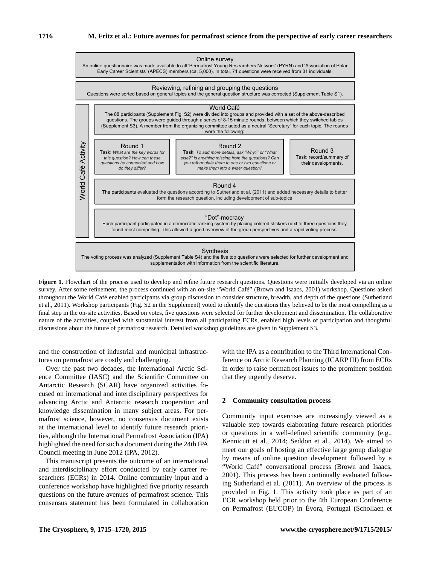

**Figure 1.** Flowchart of the process used to develop and refine future research questions. Questions were initially developed via an online survey. After some refinement, the process continued with an on-site "World Café" (Brown and Isaacs, 2001) workshop. Questions asked throughout the World Café enabled participants via group discussion to consider structure, breadth, and depth of the questions (Sutherland et al., 2011). Workshop participants (Fig. S2 in the Supplement) voted to identify the questions they believed to be the most compelling as a final step in the on-site activities. Based on votes, five questions were selected for further development and dissemination. The collaborative nature of the activities, coupled with substantial interest from all participating ECRs, enabled high levels of participation and thoughtful discussions about the future of permafrost research. Detailed workshop guidelines are given in Supplement S3.

and the construction of industrial and municipal infrastructures on permafrost are costly and challenging.

Over the past two decades, the International Arctic Science Committee (IASC) and the Scientific Committee on Antarctic Research (SCAR) have organized activities focused on international and interdisciplinary perspectives for advancing Arctic and Antarctic research cooperation and knowledge dissemination in many subject areas. For permafrost science, however, no consensus document exists at the international level to identify future research priorities, although the International Permafrost Association (IPA) highlighted the need for such a document during the 24th IPA Council meeting in June 2012 (IPA, 2012).

This manuscript presents the outcome of an international and interdisciplinary effort conducted by early career researchers (ECRs) in 2014. Online community input and a conference workshop have highlighted five priority research questions on the future avenues of permafrost science. This consensus statement has been formulated in collaboration

with the IPA as a contribution to the Third International Conference on Arctic Research Planning (ICARP III) from ECRs in order to raise permafrost issues to the prominent position that they urgently deserve.

#### **2 Community consultation process**

Community input exercises are increasingly viewed as a valuable step towards elaborating future research priorities or questions in a well-defined scientific community (e.g., Kennicutt et al., 2014; Seddon et al., 2014). We aimed to meet our goals of hosting an effective large group dialogue by means of online question development followed by a "World Café" conversational process (Brown and Isaacs, 2001). This process has been continually evaluated following Sutherland et al. (2011). An overview of the process is provided in Fig. 1. This activity took place as part of an ECR workshop held prior to the 4th European Conference on Permafrost (EUCOP) in Évora, Portugal (Schollaen et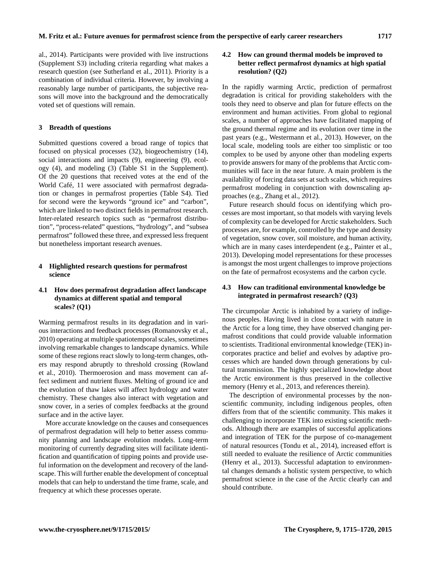al., 2014). Participants were provided with live instructions (Supplement S3) including criteria regarding what makes a research question (see Sutherland et al., 2011). Priority is a combination of individual criteria. However, by involving a reasonably large number of participants, the subjective reasons will move into the background and the democratically voted set of questions will remain.

### **3 Breadth of questions**

Submitted questions covered a broad range of topics that focused on physical processes (32), biogeochemistry (14), social interactions and impacts (9), engineering (9), ecology (4), and modeling (3) (Table S1 in the Supplement). Of the 20 questions that received votes at the end of the World Café, 11 were associated with permafrost degradation or changes in permafrost properties (Table S4). Tied for second were the keywords "ground ice" and "carbon", which are linked to two distinct fields in permafrost research. Inter-related research topics such as "permafrost distribution", "process-related" questions, "hydrology", and "subsea permafrost" followed these three, and expressed less frequent but nonetheless important research avenues.

## **4 Highlighted research questions for permafrost science**

# **4.1 How does permafrost degradation affect landscape dynamics at different spatial and temporal scales? (Q1)**

Warming permafrost results in its degradation and in various interactions and feedback processes (Romanovsky et al., 2010) operating at multiple spatiotemporal scales, sometimes involving remarkable changes to landscape dynamics. While some of these regions react slowly to long-term changes, others may respond abruptly to threshold crossing (Rowland et al., 2010). Thermoerosion and mass movement can affect sediment and nutrient fluxes. Melting of ground ice and the evolution of thaw lakes will affect hydrology and water chemistry. These changes also interact with vegetation and snow cover, in a series of complex feedbacks at the ground surface and in the active layer.

More accurate knowledge on the causes and consequences of permafrost degradation will help to better assess community planning and landscape evolution models. Long-term monitoring of currently degrading sites will facilitate identification and quantification of tipping points and provide useful information on the development and recovery of the landscape. This will further enable the development of conceptual models that can help to understand the time frame, scale, and frequency at which these processes operate.

# **4.2 How can ground thermal models be improved to better reflect permafrost dynamics at high spatial resolution? (Q2)**

In the rapidly warming Arctic, prediction of permafrost degradation is critical for providing stakeholders with the tools they need to observe and plan for future effects on the environment and human activities. From global to regional scales, a number of approaches have facilitated mapping of the ground thermal regime and its evolution over time in the past years (e.g., Westermann et al., 2013). However, on the local scale, modeling tools are either too simplistic or too complex to be used by anyone other than modeling experts to provide answers for many of the problems that Arctic communities will face in the near future. A main problem is the availability of forcing data sets at such scales, which requires permafrost modeling in conjunction with downscaling approaches (e.g., Zhang et al., 2012).

Future research should focus on identifying which processes are most important, so that models with varying levels of complexity can be developed for Arctic stakeholders. Such processes are, for example, controlled by the type and density of vegetation, snow cover, soil moisture, and human activity, which are in many cases interdependent (e.g., Painter et al., 2013). Developing model representations for these processes is amongst the most urgent challenges to improve projections on the fate of permafrost ecosystems and the carbon cycle.

## **4.3 How can traditional environmental knowledge be integrated in permafrost research? (Q3)**

The circumpolar Arctic is inhabited by a variety of indigenous peoples. Having lived in close contact with nature in the Arctic for a long time, they have observed changing permafrost conditions that could provide valuable information to scientists. Traditional environmental knowledge (TEK) incorporates practice and belief and evolves by adaptive processes which are handed down through generations by cultural transmission. The highly specialized knowledge about the Arctic environment is thus preserved in the collective memory (Henry et al., 2013, and references therein).

The description of environmental processes by the nonscientific community, including indigenous peoples, often differs from that of the scientific community. This makes it challenging to incorporate TEK into existing scientific methods. Although there are examples of successful applications and integration of TEK for the purpose of co-management of natural resources (Tondu et al., 2014), increased effort is still needed to evaluate the resilience of Arctic communities (Henry et al., 2013). Successful adaptation to environmental changes demands a holistic system perspective, to which permafrost science in the case of the Arctic clearly can and should contribute.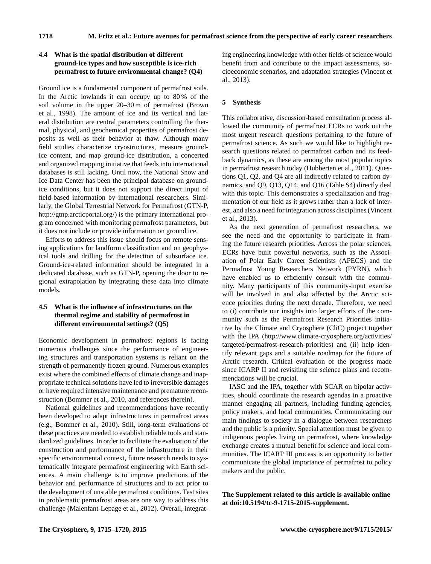## **4.4 What is the spatial distribution of different ground-ice types and how susceptible is ice-rich permafrost to future environmental change? (Q4)**

Ground ice is a fundamental component of permafrost soils. In the Arctic lowlands it can occupy up to 80 % of the soil volume in the upper 20–30 m of permafrost (Brown et al., 1998). The amount of ice and its vertical and lateral distribution are central parameters controlling the thermal, physical, and geochemical properties of permafrost deposits as well as their behavior at thaw. Although many field studies characterize cryostructures, measure groundice content, and map ground-ice distribution, a concerted and organized mapping initiative that feeds into international databases is still lacking. Until now, the National Snow and Ice Data Center has been the principal database on groundice conditions, but it does not support the direct input of field-based information by international researchers. Similarly, the Global Terrestrial Network for Permafrost (GTN-P, [http://gtnp.arcticportal.org/\)](http://gtnp.arcticportal.org/) is the primary international program concerned with monitoring permafrost parameters, but it does not include or provide information on ground ice.

Efforts to address this issue should focus on remote sensing applications for landform classification and on geophysical tools and drilling for the detection of subsurface ice. Ground-ice-related information should be integrated in a dedicated database, such as GTN-P, opening the door to regional extrapolation by integrating these data into climate models.

# **4.5 What is the influence of infrastructures on the thermal regime and stability of permafrost in different environmental settings? (Q5)**

Economic development in permafrost regions is facing numerous challenges since the performance of engineering structures and transportation systems is reliant on the strength of permanently frozen ground. Numerous examples exist where the combined effects of climate change and inappropriate technical solutions have led to irreversible damages or have required intensive maintenance and premature reconstruction (Bommer et al., 2010, and references therein).

National guidelines and recommendations have recently been developed to adapt infrastructures in permafrost areas (e.g., Bommer et al., 2010). Still, long-term evaluations of these practices are needed to establish reliable tools and standardized guidelines. In order to facilitate the evaluation of the construction and performance of the infrastructure in their specific environmental context, future research needs to systematically integrate permafrost engineering with Earth sciences. A main challenge is to improve predictions of the behavior and performance of structures and to act prior to the development of unstable permafrost conditions. Test sites in problematic permafrost areas are one way to address this challenge (Malenfant-Lepage et al., 2012). Overall, integrating engineering knowledge with other fields of science would benefit from and contribute to the impact assessments, socioeconomic scenarios, and adaptation strategies (Vincent et al., 2013).

# **5 Synthesis**

This collaborative, discussion-based consultation process allowed the community of permafrost ECRs to work out the most urgent research questions pertaining to the future of permafrost science. As such we would like to highlight research questions related to permafrost carbon and its feedback dynamics, as these are among the most popular topics in permafrost research today (Hubberten et al., 2011). Questions Q1, Q2, and Q4 are all indirectly related to carbon dynamics, and Q9, Q13, Q14, and Q16 (Table S4) directly deal with this topic. This demonstrates a specialization and fragmentation of our field as it grows rather than a lack of interest, and also a need for integration across disciplines (Vincent et al., 2013).

As the next generation of permafrost researchers, we see the need and the opportunity to participate in framing the future research priorities. Across the polar sciences, ECRs have built powerful networks, such as the Association of Polar Early Career Scientists (APECS) and the Permafrost Young Researchers Network (PYRN), which have enabled us to efficiently consult with the community. Many participants of this community-input exercise will be involved in and also affected by the Arctic science priorities during the next decade. Therefore, we need to (i) contribute our insights into larger efforts of the community such as the Permafrost Research Priorities initiative by the Climate and Cryosphere (CliC) project together with the IPA [\(http://www.climate-cryosphere.org/activities/](http://www.climate-cryosphere.org/activities/targeted/permafrost-research-priorities) [targeted/permafrost-research-priorities\)](http://www.climate-cryosphere.org/activities/targeted/permafrost-research-priorities) and (ii) help identify relevant gaps and a suitable roadmap for the future of Arctic research. Critical evaluation of the progress made since ICARP II and revisiting the science plans and recommendations will be crucial.

IASC and the IPA, together with SCAR on bipolar activities, should coordinate the research agendas in a proactive manner engaging all partners, including funding agencies, policy makers, and local communities. Communicating our main findings to society in a dialogue between researchers and the public is a priority. Special attention must be given to indigenous peoples living on permafrost, where knowledge exchange creates a mutual benefit for science and local communities. The ICARP III process is an opportunity to better communicate the global importance of permafrost to policy makers and the public.

**The Supplement related to this article is available online at [doi:10.5194/tc-9-1715-2015-supplement.](http://dx.doi.org/10.5194/tc-9-1715-2015-supplement)**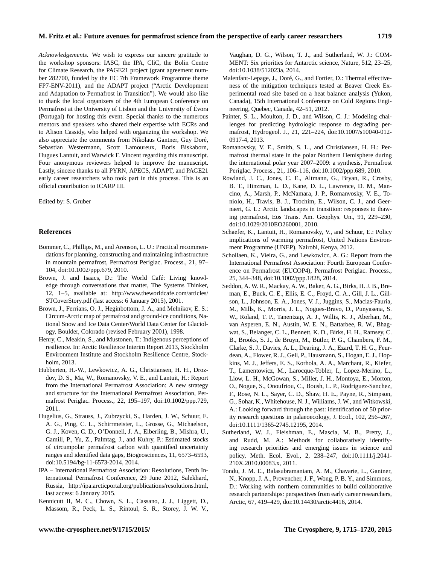*Acknowledgements.* We wish to express our sincere gratitude to the workshop sponsors: IASC, the IPA, CliC, the Bolin Centre for Climate Research, the PAGE21 project (grant agreement number 282700, funded by the EC 7th Framework Programme theme FP7-ENV-2011), and the ADAPT project ("Arctic Development and Adaptation to Permafrost in Transition"). We would also like to thank the local organizers of the 4th European Conference on Permafrost at the University of Lisbon and the University of Évora (Portugal) for hosting this event. Special thanks to the numerous mentors and speakers who shared their expertise with ECRs and to Alison Cassidy, who helped with organizing the workshop. We also appreciate the comments from Nikolaus Gantner, Guy Doré, Sebastian Westermann, Scott Lamoureux, Boris Biskaborn, Hugues Lantuit, and Warwick F. Vincent regarding this manuscript. Four anonymous reviewers helped to improve the manuscript. Lastly, sincere thanks to all PYRN, APECS, ADAPT, and PAGE21 early career researchers who took part in this process. This is an official contribution to ICARP III.

#### Edited by: S. Gruber

#### **References**

- Bommer, C., Phillips, M., and Arenson, L. U.: Practical recommendations for planning, constructing and maintaining infrastructure in mountain permafrost, Permafrost Periglac. Process., 21, 97– 104, doi[:10.1002/ppp.679,](http://dx.doi.org/10.1002/ppp.679) 2010.
- Brown, J. and Isaacs, D.: The World Café: Living knowledge through conversations that matter, The Systems Thinker, 12, 1–5, available at: [http://www.theworldcafe.com/articles/](http://www.theworldcafe.com/articles/STCoverStory.pdf) [STCoverStory.pdf](http://www.theworldcafe.com/articles/STCoverStory.pdf) (last access: 6 January 2015), 2001.
- Brown, J., Ferrians, O. J., Heginbottom, J. A., and Melnikov, E. S.: Circum-Arctic map of permafrost and ground-ice conditions, National Snow and Ice Data Center/World Data Center for Glaciology, Boulder, Colorado (revised February 2001), 1998.
- Henry, C., Meakin, S., and Mustonen, T.: Indigenous perceptions of resilience. In: Arctic Resilience Interim Report 2013, Stockholm Environment Institute and Stockholm Resilience Centre, Stockholm, 2013.
- Hubberten, H.-W., Lewkowicz, A. G., Christiansen, H. H., Drozdov, D. S., Ma, W., Romanovsky, V. E., and Lantuit, H.: Report from the International Permafrost Association: A new strategy and structure for the International Permafrost Association, Permafrost Periglac. Process., 22, 195–197, doi[:10.1002/ppp.729,](http://dx.doi.org/10.1002/ppp.729) 2011.
- Hugelius, G., Strauss, J., Zubrzycki, S., Harden, J. W., Schuur, E. A. G., Ping, C. L., Schirrmeister, L., Grosse, G., Michaelson, G. J., Koven, C. D., O'Donnell, J. A., Elberling, B., Mishra, U., Camill, P., Yu, Z., Palmtag, J., and Kuhry, P.: Estimated stocks of circumpolar permafrost carbon with quantified uncertainty ranges and identified data gaps, Biogeosciences, 11, 6573–6593, doi[:10.5194/bg-11-6573-2014,](http://dx.doi.org/10.5194/bg-11-6573-2014) 2014.
- IPA International Permafrost Association: Resolutions, Tenth International Permafrost Conference, 29 June 2012, Salekhard, Russia, [http://ipa.arcticportal.org/publications/resolutions.html,](http://ipa.arcticportal.org/publications/resolutions.html) last access: 6 January 2015.
- Kennicutt II, M. C., Chown, S. L., Cassano, J. J., Liggett, D., Massom, R., Peck, L. S., Rintoul, S. R., Storey, J. W. V.,

Vaughan, D. G., Wilson, T. J., and Sutherland, W. J.: COM-MENT: Six priorities for Antarctic science, Nature, 512, 23–25, doi[:10.1038/512023a,](http://dx.doi.org/10.1038/512023a) 2014.

- Malenfant-Lepage, J., Doré, G., and Fortier, D.: Thermal effectiveness of the mitigation techniques tested at Beaver Creek Experimental road site based on a heat balance analysis (Yukon, Canada), 15th International Conference on Cold Regions Engineering, Quebec, Canada, 42–51, 2012.
- Painter, S. L., Moulton, J. D., and Wilson, C. J.: Modeling challenges for predicting hydrologic response to degrading permafrost, Hydrogeol. J., 21, 221–224, doi[:10.1007/s10040-012-](http://dx.doi.org/10.1007/s10040-012-0917-4) [0917-4,](http://dx.doi.org/10.1007/s10040-012-0917-4) 2013.
- Romanovsky, V. E., Smith, S. L., and Christiansen, H. H.: Permafrost thermal state in the polar Northern Hemisphere during the international polar year 2007–2009: a synthesis, Permafrost Periglac. Process., 21, 106–116, doi[:10.1002/ppp.689,](http://dx.doi.org/10.1002/ppp.689) 2010.
- Rowland, J. C., Jones, C. E., Altmann, G., Bryan, R., Crosby, B. T., Hinzman, L. D., Kane, D. L., Lawrence, D. M., Mancino, A., Marsh, P., McNamara, J. P., Romanvosky, V. E., Toniolo, H., Travis, B. J., Trochim, E., Wilson, C. J., and Geernaert, G. L.: Arctic landscapes in transition: responses to thawing permafrost, Eos Trans. Am. Geophys. Un., 91, 229–230, doi[:10.1029/2010EO260001,](http://dx.doi.org/10.1029/2010EO260001) 2010.
- Schaefer, K., Lantuit, H., Romanovsky, V., and Schuur, E.: Policy implications of warming permafrost, United Nations Environment Programme (UNEP), Nairobi, Kenya, 2012.
- Schollaen, K., Vieira, G., and Lewkowicz, A. G.: Report from the International Permafrost Association: Fourth European Conference on Permafrost (EUCOP4), Permafrost Periglac. Process., 25, 344–348, doi[:10.1002/ppp.1828,](http://dx.doi.org/10.1002/ppp.1828) 2014.
- Seddon, A. W. R., Mackay, A. W., Baker, A. G., Birks, H. J. B., Breman, E., Buck, C. E., Ellis, E. C., Froyd, C. A., Gill, J. L., Gillson, L., Johnson, E. A., Jones, V. J., Juggins, S., Macias-Fauria, M., Mills, K., Morris, J. L., Nogues-Bravo, D., Punyasena, S. W., Roland, T. P., Tanentzap, A. J., Willis, K. J., Aberhan, M., van Asperen, E. N., Austin, W. E. N., Battarbee, R. W., Bhagwat, S., Belanger, C. L., Bennett, K. D., Birks, H. H., Ramsey, C. B., Brooks, S. J., de Bruyn, M., Butler, P. G., Chambers, F. M., Clarke, S. J., Davies, A. L., Dearing, J. A., Ezard, T. H. G., Feurdean, A., Flower, R. J., Gell, P., Hausmann, S., Hogan, E. J., Hopkins, M. J., Jeffers, E. S., Korhola, A. A., Marchant, R., Kiefer, T., Lamentowicz, M., Larocque-Tobler, I., Lopez-Merino, L., Liow, L. H., McGowan, S., Miller, J. H., Montoya, E., Morton, O., Nogue, S., Onoufriou, C., Boush, L. P., Rodriguez-Sanchez, F., Rose, N. L., Sayer, C. D., Shaw, H. E., Payne, R., Simpson, G., Sohar, K., Whitehouse, N. J., Williams, J. W., and Witkowski, A.: Looking forward through the past: identification of 50 priority research questions in palaeoecology, J. Ecol., 102, 256–267, doi[:10.1111/1365-2745.12195,](http://dx.doi.org/10.1111/1365-2745.12195) 2014.
- Sutherland, W. J., Fleishman, E., Mascia, M. B., Pretty, J., and Rudd, M. A.: Methods for collaboratively identifying research priorities and emerging issues in science and policy, Meth. Ecol. Evol., 2, 238–247, doi[:10.1111/j.2041-](http://dx.doi.org/10.1111/j.2041-210X.2010.00083.x) [210X.2010.00083.x,](http://dx.doi.org/10.1111/j.2041-210X.2010.00083.x) 2011.
- Tondu, J. M. E., Balasubramaniam, A. M., Chavarie, L., Gantner, N., Knopp, J. A., Provencher, J. F., Wong, P. B. Y., and Simmons, D.: Working with northern communities to build collaborative research partnerships: perspectives from early career researchers, Arctic, 67, 419–429, doi[:10.14430/arctic4416,](http://dx.doi.org/10.14430/arctic4416) 2014.